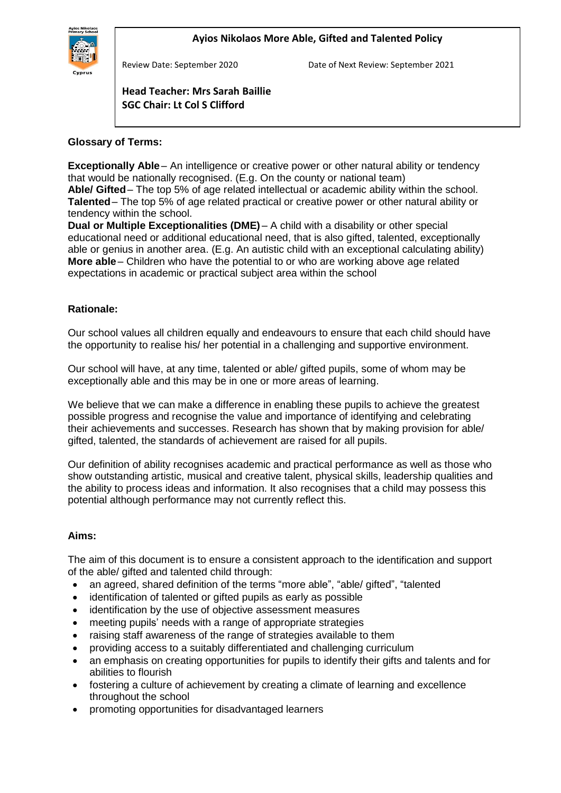Review Date: September 2020 Date of Next Review: September 2021

# **SGC Chair: Lt Col S Clifford Head Teacher: Mrs Sarah Baillie**

#### **Glossary of Terms:** İ

**Exceptionally Able** – An intelligence or creative power or other natural ability or tendency that would be nationally recognised. (E.g. On the county or national team) **Able/ Gifted**– The top 5% of age related intellectual or academic ability within the school. **Talented**– The top 5% of age related practical or creative power or other natural ability or tendency within the school.

**Dual or Multiple Exceptionalities (DME)** – A child with a disability or other special educational need or additional educational need, that is also gifted, talented, exceptionally able or genius in another area. (E.g. An autistic child with an exceptional calculating ability) **More able** – Children who have the potential to or who are working above age related expectations in academic or practical subject area within the school

## **Rationale:**

Our school values all children equally and endeavours to ensure that each child should have the opportunity to realise his/ her potential in a challenging and supportive environment.

Our school will have, at any time, talented or able/ gifted pupils, some of whom may be exceptionally able and this may be in one or more areas of learning.

We believe that we can make a difference in enabling these pupils to achieve the greatest possible progress and recognise the value and importance of identifying and celebrating their achievements and successes. Research has shown that by making provision for able/ gifted, talented, the standards of achievement are raised for all pupils.

Our definition of ability recognises academic and practical performance as well as those who show outstanding artistic, musical and creative talent, physical skills, leadership qualities and the ability to process ideas and information. It also recognises that a child may possess this potential although performance may not currently reflect this.

### **Aims:**

The aim of this document is to ensure a consistent approach to the identification and support of the able/ gifted and talented child through:

- an agreed, shared definition of the terms "more able", "able/ gifted", "talented
- identification of talented or gifted pupils as early as possible
- identification by the use of objective assessment measures
- meeting pupils' needs with a range of appropriate strategies
- raising staff awareness of the range of strategies available to them
- providing access to a suitably differentiated and challenging curriculum
- an emphasis on creating opportunities for pupils to identify their gifts and talents and for abilities to flourish
- fostering a culture of achievement by creating a climate of learning and excellence throughout the school
- promoting opportunities for disadvantaged learners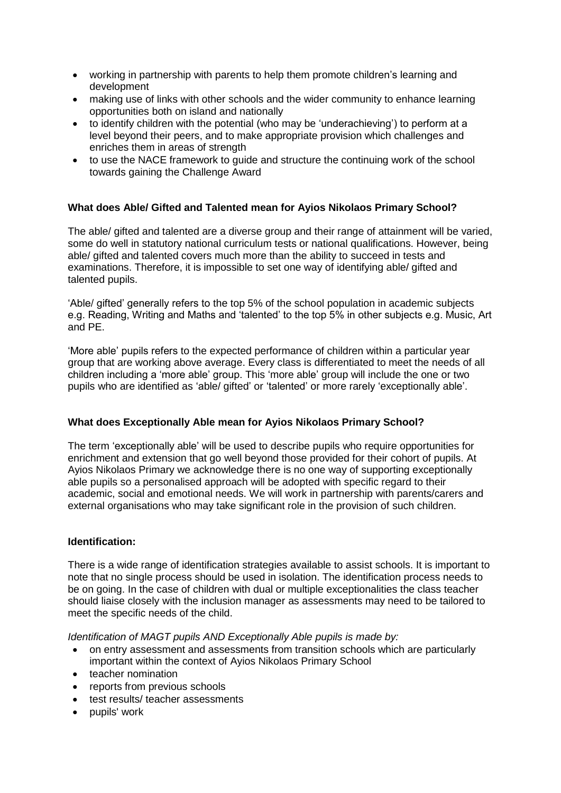- working in partnership with parents to help them promote children's learning and development
- making use of links with other schools and the wider community to enhance learning opportunities both on island and nationally
- to identify children with the potential (who may be 'underachieving') to perform at a level beyond their peers, and to make appropriate provision which challenges and enriches them in areas of strength
- to use the NACE framework to guide and structure the continuing work of the school towards gaining the Challenge Award

## **What does Able/ Gifted and Talented mean for Ayios Nikolaos Primary School?**

The able/ gifted and talented are a diverse group and their range of attainment will be varied, some do well in statutory national curriculum tests or national qualifications. However, being able/ gifted and talented covers much more than the ability to succeed in tests and examinations. Therefore, it is impossible to set one way of identifying able/ gifted and talented pupils.

'Able/ gifted' generally refers to the top 5% of the school population in academic subjects e.g. Reading, Writing and Maths and 'talented' to the top 5% in other subjects e.g. Music, Art and PE.

'More able' pupils refers to the expected performance of children within a particular year group that are working above average. Every class is differentiated to meet the needs of all children including a 'more able' group. This 'more able' group will include the one or two pupils who are identified as 'able/ gifted' or 'talented' or more rarely 'exceptionally able'.

### **What does Exceptionally Able mean for Ayios Nikolaos Primary School?**

The term 'exceptionally able' will be used to describe pupils who require opportunities for enrichment and extension that go well beyond those provided for their cohort of pupils. At Ayios Nikolaos Primary we acknowledge there is no one way of supporting exceptionally able pupils so a personalised approach will be adopted with specific regard to their academic, social and emotional needs. We will work in partnership with parents/carers and external organisations who may take significant role in the provision of such children.

#### **Identification:**

There is a wide range of identification strategies available to assist schools. It is important to note that no single process should be used in isolation. The identification process needs to be on going. In the case of children with dual or multiple exceptionalities the class teacher should liaise closely with the inclusion manager as assessments may need to be tailored to meet the specific needs of the child.

*Identification of MAGT pupils AND Exceptionally Able pupils is made by:*

- on entry assessment and assessments from transition schools which are particularly important within the context of Ayios Nikolaos Primary School
- teacher nomination
- reports from previous schools
- test results/ teacher assessments
- pupils' work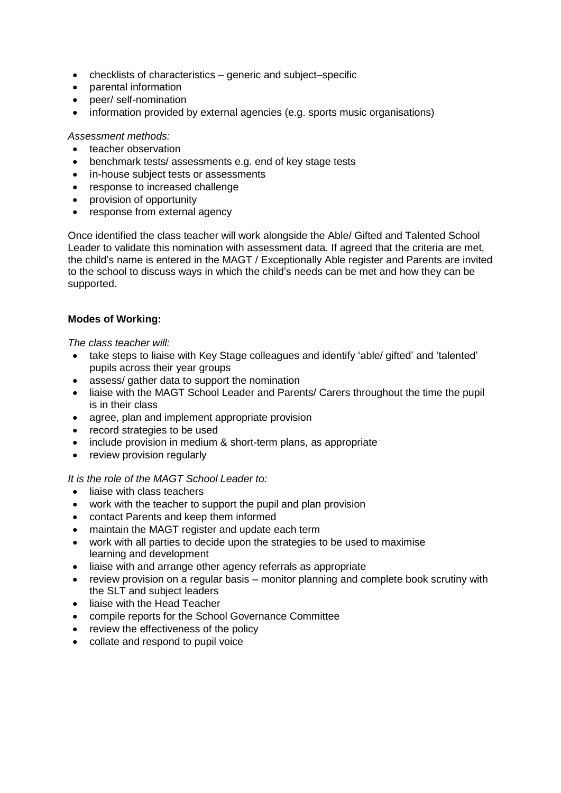- checklists of characteristics generic and subject–specific
- parental information
- peer/ self-nomination
- information provided by external agencies (e.g. sports music organisations)

### *Assessment methods:*

- teacher observation
- benchmark tests/ assessments e.g. end of key stage tests
- in-house subject tests or assessments
- response to increased challenge
- provision of opportunity
- response from external agency

Once identified the class teacher will work alongside the Able/ Gifted and Talented School Leader to validate this nomination with assessment data. If agreed that the criteria are met, the child's name is entered in the MAGT / Exceptionally Able register and Parents are invited to the school to discuss ways in which the child's needs can be met and how they can be supported.

## **Modes of Working:**

*The class teacher will:*

- take steps to liaise with Key Stage colleagues and identify 'able/ gifted' and 'talented' pupils across their year groups
- assess/ gather data to support the nomination
- liaise with the MAGT School Leader and Parents/ Carers throughout the time the pupil is in their class
- agree, plan and implement appropriate provision
- record strategies to be used
- include provision in medium & short-term plans, as appropriate
- review provision regularly

### *It is the role of the MAGT School Leader to:*

- liaise with class teachers
- work with the teacher to support the pupil and plan provision
- contact Parents and keep them informed
- maintain the MAGT register and update each term
- work with all parties to decide upon the strategies to be used to maximise learning and development
- liaise with and arrange other agency referrals as appropriate
- review provision on a regular basis monitor planning and complete book scrutiny with the SLT and subject leaders
- liaise with the Head Teacher
- compile reports for the School Governance Committee
- review the effectiveness of the policy
- collate and respond to pupil voice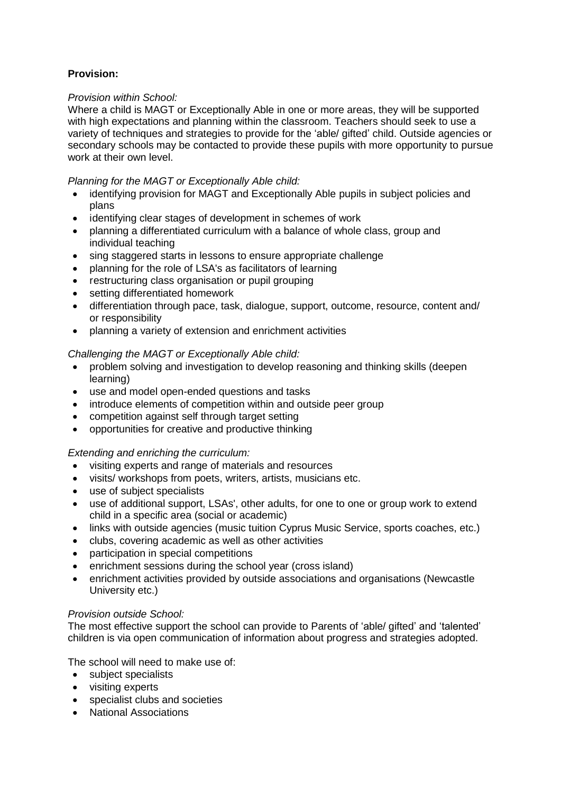# **Provision:**

## *Provision within School:*

Where a child is MAGT or Exceptionally Able in one or more areas, they will be supported with high expectations and planning within the classroom. Teachers should seek to use a variety of techniques and strategies to provide for the 'able/ gifted' child. Outside agencies or secondary schools may be contacted to provide these pupils with more opportunity to pursue work at their own level.

### *Planning for the MAGT or Exceptionally Able child:*

- identifying provision for MAGT and Exceptionally Able pupils in subject policies and plans
- identifying clear stages of development in schemes of work
- planning a differentiated curriculum with a balance of whole class, group and individual teaching
- sing staggered starts in lessons to ensure appropriate challenge
- planning for the role of LSA's as facilitators of learning
- restructuring class organisation or pupil grouping
- setting differentiated homework
- differentiation through pace, task, dialogue, support, outcome, resource, content and/ or responsibility
- planning a variety of extension and enrichment activities

### *Challenging the MAGT or Exceptionally Able child:*

- problem solving and investigation to develop reasoning and thinking skills (deepen learning)
- use and model open-ended questions and tasks
- introduce elements of competition within and outside peer group
- competition against self through target setting
- opportunities for creative and productive thinking

### *Extending and enriching the curriculum:*

- visiting experts and range of materials and resources
- visits/ workshops from poets, writers, artists, musicians etc.
- use of subject specialists
- use of additional support, LSAs', other adults, for one to one or group work to extend child in a specific area (social or academic)
- links with outside agencies (music tuition Cyprus Music Service, sports coaches, etc.)
- clubs, covering academic as well as other activities
- participation in special competitions
- enrichment sessions during the school year (cross island)
- enrichment activities provided by outside associations and organisations (Newcastle University etc.)

### *Provision outside School:*

The most effective support the school can provide to Parents of 'able/ gifted' and 'talented' children is via open communication of information about progress and strategies adopted.

The school will need to make use of:

- subject specialists
- visiting experts
- specialist clubs and societies
- National Associations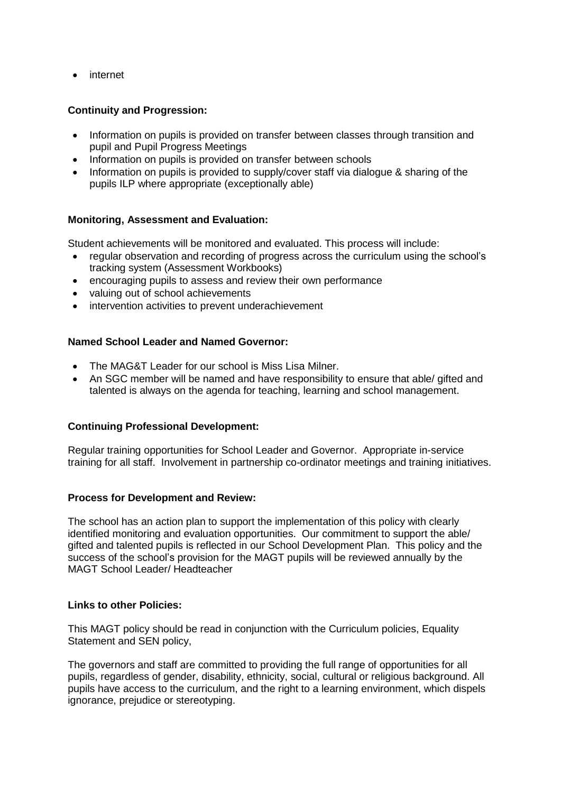• internet

## **Continuity and Progression:**

- Information on pupils is provided on transfer between classes through transition and pupil and Pupil Progress Meetings
- Information on pupils is provided on transfer between schools
- Information on pupils is provided to supply/cover staff via dialogue & sharing of the pupils ILP where appropriate (exceptionally able)

#### **Monitoring, Assessment and Evaluation:**

Student achievements will be monitored and evaluated. This process will include:

- regular observation and recording of progress across the curriculum using the school's tracking system (Assessment Workbooks)
- encouraging pupils to assess and review their own performance
- valuing out of school achievements
- intervention activities to prevent underachievement

#### **Named School Leader and Named Governor:**

- The MAG&T Leader for our school is Miss Lisa Milner.
- An SGC member will be named and have responsibility to ensure that able/ gifted and talented is always on the agenda for teaching, learning and school management.

#### **Continuing Professional Development:**

Regular training opportunities for School Leader and Governor. Appropriate in-service training for all staff. Involvement in partnership co-ordinator meetings and training initiatives.

#### **Process for Development and Review:**

The school has an action plan to support the implementation of this policy with clearly identified monitoring and evaluation opportunities. Our commitment to support the able/ gifted and talented pupils is reflected in our School Development Plan. This policy and the success of the school's provision for the MAGT pupils will be reviewed annually by the MAGT School Leader/ Headteacher

#### **Links to other Policies:**

This MAGT policy should be read in conjunction with the Curriculum policies, Equality Statement and SEN policy,

The governors and staff are committed to providing the full range of opportunities for all pupils, regardless of gender, disability, ethnicity, social, cultural or religious background. All pupils have access to the curriculum, and the right to a learning environment, which dispels ignorance, prejudice or stereotyping.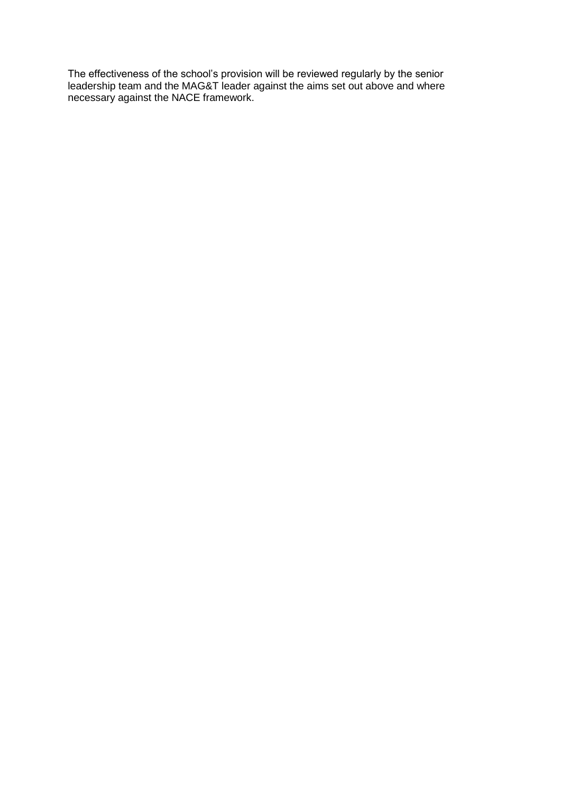The effectiveness of the school's provision will be reviewed regularly by the senior leadership team and the MAG&T leader against the aims set out above and where necessary against the NACE framework.